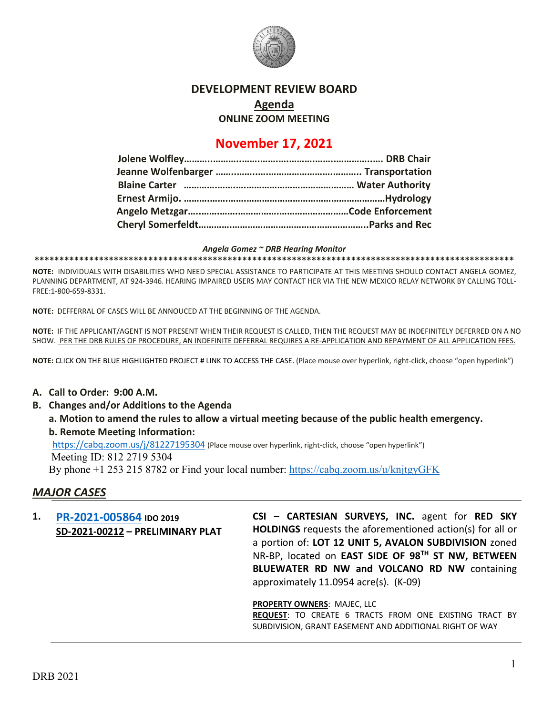

## **DEVELOPMENT REVIEW BOARD**

**Agenda**

**ONLINE ZOOM MEETING**

# **November 17, 2021**

#### *Angela Gomez ~ DRB Hearing Monitor*

**\*\*\*\*\*\*\*\*\*\*\*\*\*\*\*\*\*\*\*\*\*\*\*\*\*\*\*\*\*\*\*\*\*\*\*\*\*\*\*\*\*\*\*\*\*\*\*\*\*\*\*\*\*\*\*\*\*\*\*\*\*\*\*\*\*\*\*\*\*\*\*\*\*\*\*\*\*\*\*\*\*\*\*\*\*\*\*\*\*\*\*\*\*\*\*\*\***

**NOTE:** INDIVIDUALS WITH DISABILITIES WHO NEED SPECIAL ASSISTANCE TO PARTICIPATE AT THIS MEETING SHOULD CONTACT ANGELA GOMEZ, PLANNING DEPARTMENT, AT 924-3946. HEARING IMPAIRED USERS MAY CONTACT HER VIA THE NEW MEXICO RELAY NETWORK BY CALLING TOLL-FREE:1-800-659-8331.

**NOTE:** DEFFERRAL OF CASES WILL BE ANNOUCED AT THE BEGINNING OF THE AGENDA.

**NOTE:** IF THE APPLICANT/AGENT IS NOT PRESENT WHEN THEIR REQUEST IS CALLED, THEN THE REQUEST MAY BE INDEFINITELY DEFERRED ON A NO SHOW. PER THE DRB RULES OF PROCEDURE, AN INDEFINITE DEFERRAL REQUIRES A RE-APPLICATION AND REPAYMENT OF ALL APPLICATION FEES.

**NOTE:** CLICK ON THE BLUE HIGHLIGHTED PROJECT # LINK TO ACCESS THE CASE. (Place mouse over hyperlink, right-click, choose "open hyperlink")

### **A. Call to Order: 9:00 A.M.**

- **B. Changes and/or Additions to the Agenda**
	- **a. Motion to amend the rules to allow a virtual meeting because of the public health emergency. b. Remote Meeting Information:**

https://cabq.zoom.us/j/81227195304 (Place mouse over hyperlink, right-click, choose "open hyperlink") Meeting ID: 812 2719 5304

By phone +1 253 215 8782 or Find your local number:<https://cabq.zoom.us/u/knjtgyGFK>

### *MAJOR CASES*

**1. [PR-2021-005864](http://data.cabq.gov/government/planning/DRB/PR-2021-005864/DRB%20Submittals/PR-2021-005864_Nov_17_2021%20(PP)/Application/DRB_app_PR-2021-005864_Prelim_Plat%20(1).pdf) IDO 2019 SD-2021-00212 – PRELIMINARY PLAT** **CSI – CARTESIAN SURVEYS, INC.** agent for **RED SKY HOLDINGS** requests the aforementioned action(s) for all or a portion of: **LOT 12 UNIT 5, AVALON SUBDIVISION** zoned NR-BP, located on **EAST SIDE OF 98TH ST NW, BETWEEN BLUEWATER RD NW and VOLCANO RD NW** containing approximately 11.0954 acre(s). (K-09)

#### **PROPERTY OWNERS**: MAJEC, LLC

**REQUEST**: TO CREATE 6 TRACTS FROM ONE EXISTING TRACT BY SUBDIVISION, GRANT EASEMENT AND ADDITIONAL RIGHT OF WAY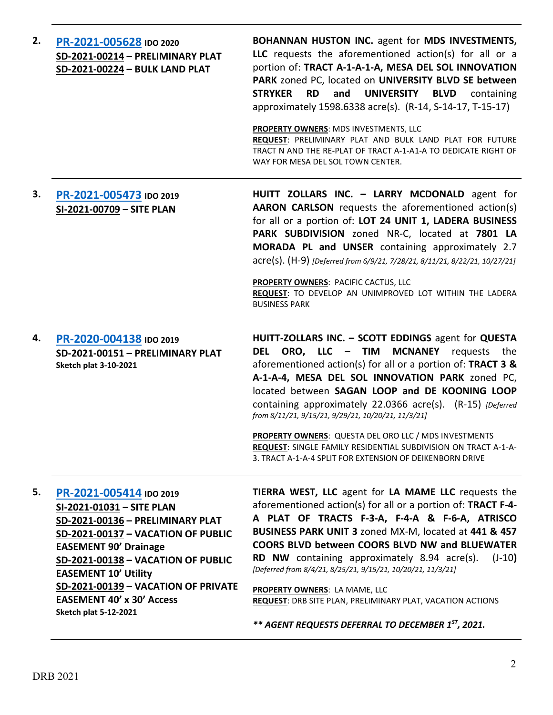| 2. | PR-2021-005628 IDO 2020<br>SD-2021-00214 - PRELIMINARY PLAT<br>SD-2021-00224 - BULK LAND PLAT                                                                                                                                                                                                                                                  | <b>BOHANNAN HUSTON INC.</b> agent for MDS INVESTMENTS,<br>LLC requests the aforementioned action(s) for all or a<br>portion of: TRACT A-1-A-1-A, MESA DEL SOL INNOVATION<br>PARK zoned PC, located on UNIVERSITY BLVD SE between<br>STRYKER RD<br>and UNIVERSITY BLVD<br>containing<br>approximately 1598.6338 acre(s). (R-14, S-14-17, T-15-17)<br>PROPERTY OWNERS: MDS INVESTMENTS, LLC<br>REQUEST: PRELIMINARY PLAT AND BULK LAND PLAT FOR FUTURE<br>TRACT N AND THE RE-PLAT OF TRACT A-1-A1-A TO DEDICATE RIGHT OF<br>WAY FOR MESA DEL SOL TOWN CENTER.                          |
|----|------------------------------------------------------------------------------------------------------------------------------------------------------------------------------------------------------------------------------------------------------------------------------------------------------------------------------------------------|--------------------------------------------------------------------------------------------------------------------------------------------------------------------------------------------------------------------------------------------------------------------------------------------------------------------------------------------------------------------------------------------------------------------------------------------------------------------------------------------------------------------------------------------------------------------------------------|
| З. | PR-2021-005473 IDO 2019<br>SI-2021-00709 - SITE PLAN                                                                                                                                                                                                                                                                                           | HUITT ZOLLARS INC. - LARRY MCDONALD agent for<br><b>AARON CARLSON</b> requests the aforementioned action(s)<br>for all or a portion of: LOT 24 UNIT 1, LADERA BUSINESS<br>PARK SUBDIVISION zoned NR-C, located at 7801 LA<br>MORADA PL and UNSER containing approximately 2.7<br>acre(s). (H-9) [Deferred from 6/9/21, 7/28/21, 8/11/21, 8/22/21, 10/27/21]<br>PROPERTY OWNERS: PACIFIC CACTUS, LLC<br>REQUEST: TO DEVELOP AN UNIMPROVED LOT WITHIN THE LADERA<br><b>BUSINESS PARK</b>                                                                                               |
| 4. | PR-2020-004138 IDO 2019<br>SD-2021-00151 - PRELIMINARY PLAT<br><b>Sketch plat 3-10-2021</b>                                                                                                                                                                                                                                                    | HUITT-ZOLLARS INC. - SCOTT EDDINGS agent for QUESTA<br>DEL ORO, LLC - TIM MCNANEY requests the<br>aforementioned action(s) for all or a portion of: TRACT 3 &<br>A-1-A-4, MESA DEL SOL INNOVATION PARK zoned PC,<br>located between SAGAN LOOP and DE KOONING LOOP<br>containing approximately 22.0366 acre(s). (R-15) {Deferred<br>from 8/11/21, 9/15/21, 9/29/21, 10/20/21, 11/3/21]<br><b>PROPERTY OWNERS: QUESTA DEL ORO LLC / MDS INVESTMENTS</b><br>REQUEST: SINGLE FAMILY RESIDENTIAL SUBDIVISION ON TRACT A-1-A-<br>3. TRACT A-1-A-4 SPLIT FOR EXTENSION OF DEIKENBORN DRIVE |
| 5. | PR-2021-005414 IDO 2019<br>SI-2021-01031 - SITE PLAN<br>SD-2021-00136 - PRELIMINARY PLAT<br>SD-2021-00137 - VACATION OF PUBLIC<br><b>EASEMENT 90' Drainage</b><br>SD-2021-00138 - VACATION OF PUBLIC<br><b>EASEMENT 10' Utility</b><br>SD-2021-00139 - VACATION OF PRIVATE<br><b>EASEMENT 40' x 30' Access</b><br><b>Sketch plat 5-12-2021</b> | TIERRA WEST, LLC agent for LA MAME LLC requests the<br>aforementioned action(s) for all or a portion of: TRACT F-4-<br>A PLAT OF TRACTS F-3-A, F-4-A & F-6-A, ATRISCO<br>BUSINESS PARK UNIT 3 zoned MX-M, located at 441 & 457<br>COORS BLVD between COORS BLVD NW and BLUEWATER<br>RD NW containing approximately 8.94 acre(s).<br>$(J-10)$<br>[Deferred from 8/4/21, 8/25/21, 9/15/21, 10/20/21, 11/3/21]<br>PROPERTY OWNERS: LA MAME, LLC<br><b>REQUEST: DRB SITE PLAN, PRELIMINARY PLAT, VACATION ACTIONS</b><br>** AGENT REQUESTS DEFERRAL TO DECEMBER 1 <sup>ST</sup> , 2021.  |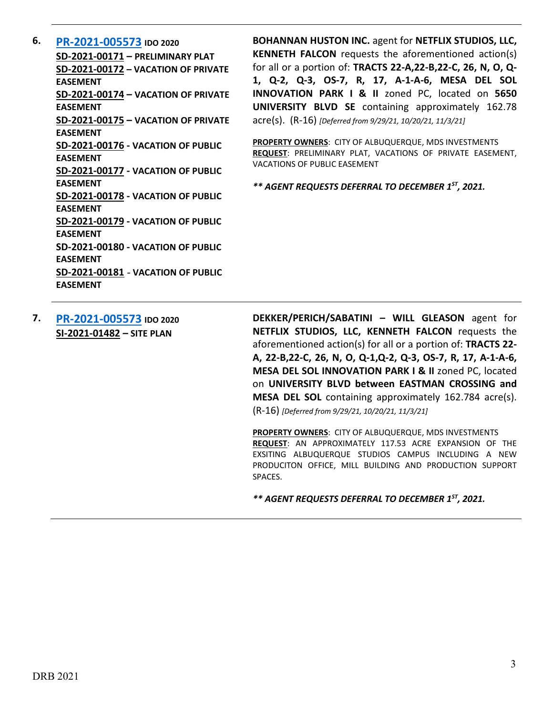**6. [PR-2021-005573](http://data.cabq.gov/government/planning/DRB/PR-2021-005573/DRB%20Submittals/) IDO 2020 SD-2021-00171 – PRELIMINARY PLAT SD-2021-00172 – VACATION OF PRIVATE EASEMENT SD-2021-00174 – VACATION OF PRIVATE EASEMENT SD-2021-00175 – VACATION OF PRIVATE EASEMENT SD-2021-00176 - VACATION OF PUBLIC EASEMENT SD-2021-00177 - VACATION OF PUBLIC EASEMENT SD-2021-00178 - VACATION OF PUBLIC EASEMENT SD-2021-00179 - VACATION OF PUBLIC EASEMENT SD-2021-00180 - VACATION OF PUBLIC EASEMENT SD-2021-00181** - **VACATION OF PUBLIC EASEMENT**

**BOHANNAN HUSTON INC.** agent for **NETFLIX STUDIOS, LLC, KENNETH FALCON** requests the aforementioned action(s) for all or a portion of: **TRACTS 22-A,22-B,22-C, 26, N, O, Q-1, Q-2, Q-3, OS-7, R, 17, A-1-A-6, MESA DEL SOL INNOVATION PARK I & II** zoned PC, located on **5650 UNIVERSITY BLVD SE** containing approximately 162.78 acre(s). (R-16) *[Deferred from 9/29/21, 10/20/21, 11/3/21]*

**PROPERTY OWNERS**: CITY OF ALBUQUERQUE, MDS INVESTMENTS **REQUEST**: PRELIMINARY PLAT, VACATIONS OF PRIVATE EASEMENT, VACATIONS OF PUBLIC EASEMENT

*\*\* AGENT REQUESTS DEFERRAL TO DECEMBER 1ST, 2021.*

**7. [PR-2021-005573](http://data.cabq.gov/government/planning/DRB/PR-2021-005573/DRB%20Submittals/) IDO 2020 SI-2021-01482 – SITE PLAN**

**DEKKER/PERICH/SABATINI – WILL GLEASON** agent for **NETFLIX STUDIOS, LLC, KENNETH FALCON** requests the aforementioned action(s) for all or a portion of: **TRACTS 22- A, 22-B,22-C, 26, N, O, Q-1,Q-2, Q-3, OS-7, R, 17, A-1-A-6, MESA DEL SOL INNOVATION PARK I & II** zoned PC, located on **UNIVERSITY BLVD between EASTMAN CROSSING and MESA DEL SOL** containing approximately 162.784 acre(s). (R-16) *[Deferred from 9/29/21, 10/20/21, 11/3/21]*

**PROPERTY OWNERS**: CITY OF ALBUQUERQUE, MDS INVESTMENTS **REQUEST**: AN APPROXIMATELY 117.53 ACRE EXPANSION OF THE EXSITING ALBUQUERQUE STUDIOS CAMPUS INCLUDING A NEW PRODUCITON OFFICE, MILL BUILDING AND PRODUCTION SUPPORT SPACES.

*\*\* AGENT REQUESTS DEFERRAL TO DECEMBER 1ST, 2021.*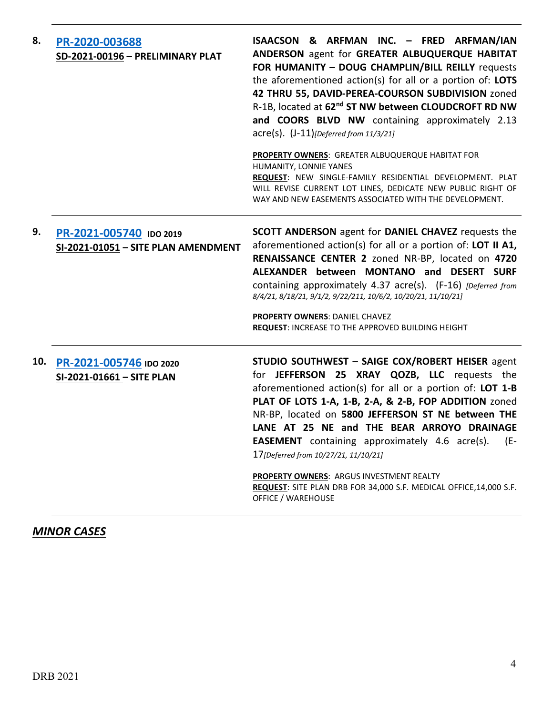| 8.  | PR-2020-003688<br>SD-2021-00196 - PRELIMINARY PLAT             | ISAACSON & ARFMAN INC. - FRED ARFMAN/IAN<br>ANDERSON agent for GREATER ALBUQUERQUE HABITAT<br>FOR HUMANITY - DOUG CHAMPLIN/BILL REILLY requests<br>the aforementioned action(s) for all or a portion of: LOTS<br>42 THRU 55, DAVID-PEREA-COURSON SUBDIVISION zoned<br>R-1B, located at 62 <sup>nd</sup> ST NW between CLOUDCROFT RD NW<br>and COORS BLVD NW containing approximately 2.13<br>acre(s). (J-11)[Deferred from 11/3/21]                         |
|-----|----------------------------------------------------------------|-------------------------------------------------------------------------------------------------------------------------------------------------------------------------------------------------------------------------------------------------------------------------------------------------------------------------------------------------------------------------------------------------------------------------------------------------------------|
|     |                                                                | PROPERTY OWNERS: GREATER ALBUQUERQUE HABITAT FOR<br>HUMANITY, LONNIE YANES<br>REQUEST: NEW SINGLE-FAMILY RESIDENTIAL DEVELOPMENT. PLAT<br>WILL REVISE CURRENT LOT LINES, DEDICATE NEW PUBLIC RIGHT OF<br>WAY AND NEW EASEMENTS ASSOCIATED WITH THE DEVELOPMENT.                                                                                                                                                                                             |
| 9.  | PR-2021-005740 IDO 2019<br>SI-2021-01051 - SITE PLAN AMENDMENT | <b>SCOTT ANDERSON</b> agent for <b>DANIEL CHAVEZ</b> requests the<br>aforementioned action(s) for all or a portion of: LOT II A1,<br>RENAISSANCE CENTER 2 zoned NR-BP, located on 4720<br>ALEXANDER between MONTANO and DESERT SURF<br>containing approximately 4.37 acre(s). (F-16) [Deferred from<br>8/4/21, 8/18/21, 9/1/2, 9/22/211, 10/6/2, 10/20/21, 11/10/21]<br>PROPERTY OWNERS: DANIEL CHAVEZ<br>REQUEST: INCREASE TO THE APPROVED BUILDING HEIGHT |
| 10. | PR-2021-005746 IDO 2020<br>SI-2021-01661 - SITE PLAN           | STUDIO SOUTHWEST - SAIGE COX/ROBERT HEISER agent<br>for JEFFERSON 25 XRAY QOZB, LLC requests the<br>aforementioned action(s) for all or a portion of: LOT 1-B<br>PLAT OF LOTS 1-A, 1-B, 2-A, & 2-B, FOP ADDITION zoned<br>NR-BP, located on 5800 JEFFERSON ST NE between THE<br>LANE AT 25 NE and THE BEAR ARROYO DRAINAGE<br><b>EASEMENT</b> containing approximately 4.6 acre(s).<br>(E-<br>17 [Deferred from 10/27/21, 11/10/21]                         |
|     |                                                                | PROPERTY OWNERS: ARGUS INVESTMENT REALTY<br>REQUEST: SITE PLAN DRB FOR 34,000 S.F. MEDICAL OFFICE, 14,000 S.F.<br><b>OFFICE / WAREHOUSE</b>                                                                                                                                                                                                                                                                                                                 |

# *MINOR CASES*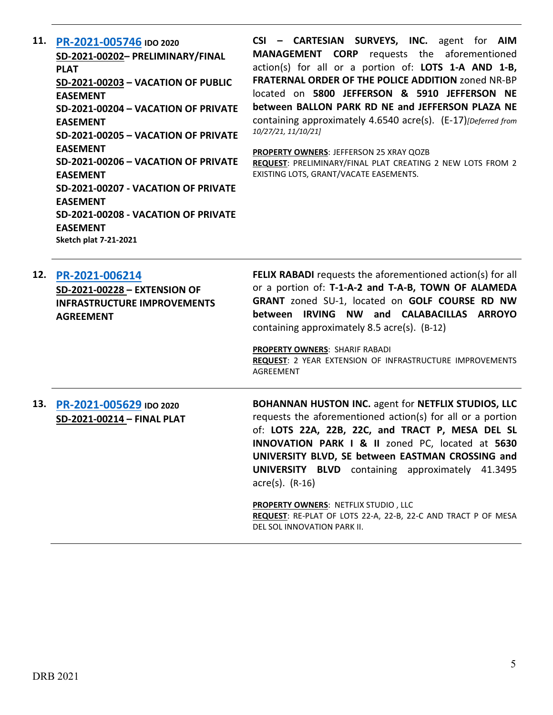**11. [PR-2021-005746](http://data.cabq.gov/government/planning/DRB/PR-2021-005746/DRB%20Submittals/PR-2021-005746_Nov_17_2021_Supp/PR-2021-005746_DRB%20Supp_11-12-21.pdf) IDO 2020 SD-2021-00202– PRELIMINARY/FINAL PLAT SD-2021-00203 – VACATION OF PUBLIC EASEMENT SD-2021-00204 – VACATION OF PRIVATE EASEMENT SD-2021-00205 – VACATION OF PRIVATE EASEMENT SD-2021-00206 – VACATION OF PRIVATE EASEMENT SD-2021-00207 - VACATION OF PRIVATE EASEMENT SD-2021-00208 - VACATION OF PRIVATE EASEMENT Sketch plat 7-21-2021**

**CSI – CARTESIAN SURVEYS, INC.** agent for **AIM MANAGEMENT CORP** requests the aforementioned action(s) for all or a portion of: **LOTS 1-A AND 1-B, FRATERNAL ORDER OF THE POLICE ADDITION** zoned NR-BP located on **5800 JEFFERSON & 5910 JEFFERSON NE between BALLON PARK RD NE and JEFFERSON PLAZA NE** containing approximately 4.6540 acre(s). (E-17)*[Deferred from 10/27/21, 11/10/21]*

**PROPERTY OWNERS**: JEFFERSON 25 XRAY QOZB **REQUEST**: PRELIMINARY/FINAL PLAT CREATING 2 NEW LOTS FROM 2 EXISTING LOTS, GRANT/VACATE EASEMENTS.

| 12. PR-2021-006214                 | <b>FELIX R</b> |
|------------------------------------|----------------|
| SD-2021-00228 - EXTENSION OF       | or a po        |
| <b>INFRASTRUCTURE IMPROVEMENTS</b> | <b>GRANT</b>   |
| <b>AGREEMENT</b>                   | betwee         |
|                                    | containi       |

**FELIX RABADI** requests the aforementioned action(s) for all rtion of: T-1-A-2 and T-A-B, TOWN OF ALAMEDA zoned SU-1, located on **GOLF COURSE RD NW between IRVING NW and CALABACILLAS ARROYO** ing approximately 8.5 acre(s).  $(B-12)$ 

**PROPERTY OWNERS**: SHARIF RABADI **REQUEST**: 2 YEAR EXTENSION OF INFRASTRUCTURE IMPROVEMENTS AGREEMENT

**13. [PR-2021-005629](http://data.cabq.gov/government/planning/DRB/PR-2021-005629/DRB%20Submittals/PR-2021-005629_Nov_17_2021%20(FP)/001_CompleteDRB_application_FINALPlat-North.pdf) IDO 2020 SD-2021-00214 – FINAL PLAT** **BOHANNAN HUSTON INC.** agent for **NETFLIX STUDIOS, LLC** requests the aforementioned action(s) for all or a portion of: **LOTS 22A, 22B, 22C, and TRACT P, MESA DEL SL INNOVATION PARK I & II** zoned PC, located at **5630 UNIVERSITY BLVD, SE between EASTMAN CROSSING and UNIVERSITY BLVD** containing approximately 41.3495 acre(s). (R-16)

**PROPERTY OWNERS**: NETFLIX STUDIO , LLC **REQUEST**: RE-PLAT OF LOTS 22-A, 22-B, 22-C AND TRACT P OF MESA DEL SOL INNOVATION PARK II.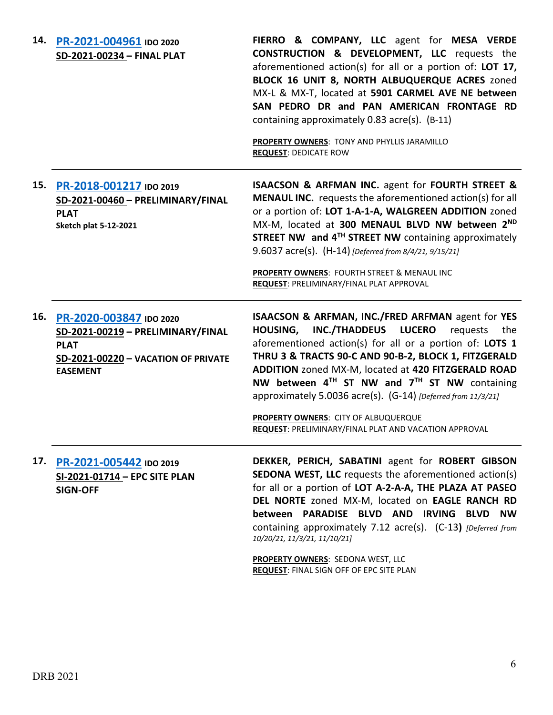| 14. | PR-2021-004961 IDO 2020<br>SD-2021-00234 - FINAL PLAT                                                                                 | FIERRO & COMPANY, LLC agent for MESA VERDE<br><b>CONSTRUCTION &amp; DEVELOPMENT, LLC</b> requests the<br>aforementioned action(s) for all or a portion of: LOT 17,<br>BLOCK 16 UNIT 8, NORTH ALBUQUERQUE ACRES zoned<br>MX-L & MX-T, located at 5901 CARMEL AVE NE between<br>SAN PEDRO DR and PAN AMERICAN FRONTAGE RD<br>containing approximately 0.83 acre(s). (B-11)<br>PROPERTY OWNERS: TONY AND PHYLLIS JARAMILLO<br><b>REQUEST: DEDICATE ROW</b>                                            |
|-----|---------------------------------------------------------------------------------------------------------------------------------------|----------------------------------------------------------------------------------------------------------------------------------------------------------------------------------------------------------------------------------------------------------------------------------------------------------------------------------------------------------------------------------------------------------------------------------------------------------------------------------------------------|
| 15. | PR-2018-001217 IDO 2019<br>SD-2021-00460 - PRELIMINARY/FINAL<br><b>PLAT</b><br>Sketch plat 5-12-2021                                  | <b>ISAACSON &amp; ARFMAN INC.</b> agent for FOURTH STREET &<br><b>MENAUL INC.</b> requests the aforementioned action(s) for all<br>or a portion of: LOT 1-A-1-A, WALGREEN ADDITION zoned<br>MX-M, located at 300 MENAUL BLVD NW between 2ND<br>STREET NW and 4 <sup>TH</sup> STREET NW containing approximately<br>9.6037 acre(s). (H-14) [Deferred from 8/4/21, 9/15/21]<br>PROPERTY OWNERS: FOURTH STREET & MENAUL INC<br>REQUEST: PRELIMINARY/FINAL PLAT APPROVAL                               |
| 16. | PR-2020-003847 IDO 2020<br>SD-2021-00219 - PRELIMINARY/FINAL<br><b>PLAT</b><br>SD-2021-00220 - VACATION OF PRIVATE<br><b>EASEMENT</b> | ISAACSON & ARFMAN, INC./FRED ARFMAN agent for YES<br>HOUSING, INC./THADDEUS LUCERO<br>requests<br>the<br>aforementioned action(s) for all or a portion of: LOTS 1<br>THRU 3 & TRACTS 90-C AND 90-B-2, BLOCK 1, FITZGERALD<br>ADDITION zoned MX-M, located at 420 FITZGERALD ROAD<br>NW between 4TH ST NW and 7TH ST NW containing<br>approximately 5.0036 acre(s). (G-14) [Deferred from 11/3/21]<br>PROPERTY OWNERS: CITY OF ALBUQUERQUE<br>REQUEST: PRELIMINARY/FINAL PLAT AND VACATION APPROVAL |
| 17. | PR-2021-005442 IDO 2019<br>SI-2021-01714 - EPC SITE PLAN<br><b>SIGN-OFF</b>                                                           | DEKKER, PERICH, SABATINI agent for ROBERT GIBSON<br><b>SEDONA WEST, LLC</b> requests the aforementioned action(s)<br>for all or a portion of LOT A-2-A-A, THE PLAZA AT PASEO<br>DEL NORTE zoned MX-M, located on EAGLE RANCH RD<br>between PARADISE BLVD AND IRVING BLVD<br><b>NW</b><br>containing approximately 7.12 acre(s). (C-13) [Deferred from<br>10/20/21, 11/3/21, 11/10/21]<br>PROPERTY OWNERS: SEDONA WEST, LLC<br><b>REQUEST: FINAL SIGN OFF OF EPC SITE PLAN</b>                      |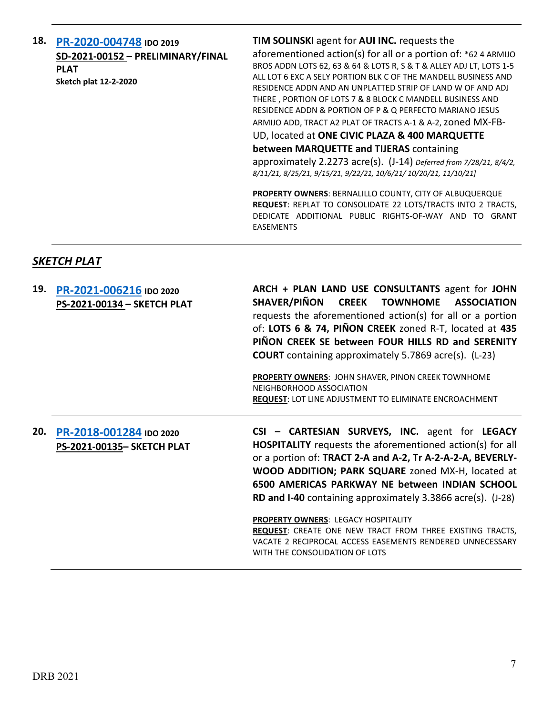| 18.<br>PR-2020-004748 IDO 2019<br>SD-2021-00152 - PRELIMINARY/FINAL<br><b>PLAT</b><br><b>Sketch plat 12-2-2020</b> | <b>TIM SOLINSKI</b> agent for <b>AUI INC.</b> requests the<br>aforementioned action(s) for all or a portion of: *62 4 ARMIJO<br>BROS ADDN LOTS 62, 63 & 64 & LOTS R, S & T & ALLEY ADJ LT, LOTS 1-5<br>ALL LOT 6 EXC A SELY PORTION BLK C OF THE MANDELL BUSINESS AND<br>RESIDENCE ADDN AND AN UNPLATTED STRIP OF LAND W OF AND ADJ<br>THERE, PORTION OF LOTS 7 & 8 BLOCK C MANDELL BUSINESS AND<br>RESIDENCE ADDN & PORTION OF P & Q PERFECTO MARIANO JESUS<br>ARMIJO ADD, TRACT A2 PLAT OF TRACTS A-1 & A-2, zoned MX-FB-<br>UD, located at ONE CIVIC PLAZA & 400 MARQUETTE<br>between MARQUETTE and TIJERAS containing<br>approximately 2.2273 acre(s). (J-14) Deferred from 7/28/21, 8/4/2,<br>8/11/21, 8/25/21, 9/15/21, 9/22/21, 10/6/21/ 10/20/21, 11/10/21]<br><b>PROPERTY OWNERS: BERNALILLO COUNTY, CITY OF ALBUQUERQUE</b><br><b>REQUEST:</b> REPLAT TO CONSOLIDATE 22 LOTS/TRACTS INTO 2 TRACTS,<br>DEDICATE ADDITIONAL PUBLIC RIGHTS-OF-WAY AND<br>TO.<br>GRANT<br><b>EASEMENTS</b> |
|--------------------------------------------------------------------------------------------------------------------|--------------------------------------------------------------------------------------------------------------------------------------------------------------------------------------------------------------------------------------------------------------------------------------------------------------------------------------------------------------------------------------------------------------------------------------------------------------------------------------------------------------------------------------------------------------------------------------------------------------------------------------------------------------------------------------------------------------------------------------------------------------------------------------------------------------------------------------------------------------------------------------------------------------------------------------------------------------------------------------------------|
|--------------------------------------------------------------------------------------------------------------------|--------------------------------------------------------------------------------------------------------------------------------------------------------------------------------------------------------------------------------------------------------------------------------------------------------------------------------------------------------------------------------------------------------------------------------------------------------------------------------------------------------------------------------------------------------------------------------------------------------------------------------------------------------------------------------------------------------------------------------------------------------------------------------------------------------------------------------------------------------------------------------------------------------------------------------------------------------------------------------------------------|

## *SKETCH PLAT*

| 19. | PR-2021-006216 IDO 2020<br>PS-2021-00134 - SKETCH PLAT | ARCH + PLAN LAND USE CONSULTANTS agent for JOHN<br>SHAVER/PIÑON CREEK TOWNHOME ASSOCIATION<br>requests the aforementioned action(s) for all or a portion<br>of: LOTS 6 & 74, PIÑON CREEK zoned R-T, located at 435<br>PIÑON CREEK SE between FOUR HILLS RD and SERENITY<br><b>COURT</b> containing approximately 5.7869 acre(s). (L-23)<br>PROPERTY OWNERS: JOHN SHAVER, PINON CREEK TOWNHOME<br>NEIGHBORHOOD ASSOCIATION<br><b>REQUEST: LOT LINE ADJUSTMENT TO ELIMINATE ENCROACHMENT</b> |
|-----|--------------------------------------------------------|--------------------------------------------------------------------------------------------------------------------------------------------------------------------------------------------------------------------------------------------------------------------------------------------------------------------------------------------------------------------------------------------------------------------------------------------------------------------------------------------|
| 20. | PR-2018-001284 IDO 2020<br>PS-2021-00135- SKETCH PLAT  | CSI - CARTESIAN SURVEYS, INC. agent for LEGACY<br><b>HOSPITALITY</b> requests the aforementioned action(s) for all<br>or a portion of: TRACT 2-A and A-2, Tr A-2-A-2-A, BEVERLY-<br>WOOD ADDITION; PARK SQUARE zoned MX-H, located at<br><b>6500 AMERICAS PARKWAY NE between INDIAN SCHOOL</b><br>RD and I-40 containing approximately 3.3866 acre(s). (J-28)<br><b>PROPERTY OWNERS: LEGACY HOSPITALITY</b>                                                                                |
|     |                                                        | REQUEST: CREATE ONE NEW TRACT FROM THREE EXISTING TRACTS,<br>VACATE 2 RECIPROCAL ACCESS EASEMENTS RENDERED UNNECESSARY                                                                                                                                                                                                                                                                                                                                                                     |